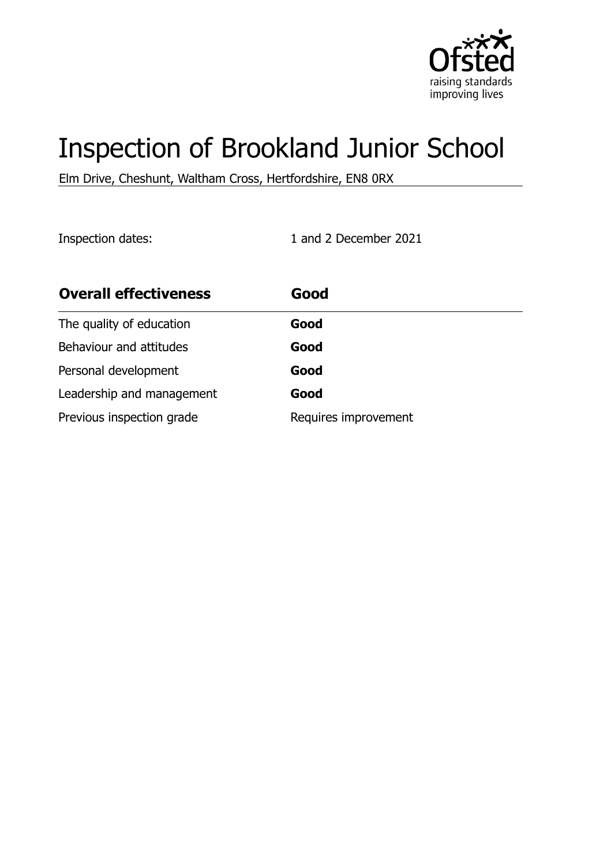

# Inspection of Brookland Junior School

Elm Drive, Cheshunt, Waltham Cross, Hertfordshire, EN8 0RX

Inspection dates: 1 and 2 December 2021

| <b>Overall effectiveness</b> | Good                 |
|------------------------------|----------------------|
| The quality of education     | Good                 |
| Behaviour and attitudes      | Good                 |
| Personal development         | Good                 |
| Leadership and management    | Good                 |
| Previous inspection grade    | Requires improvement |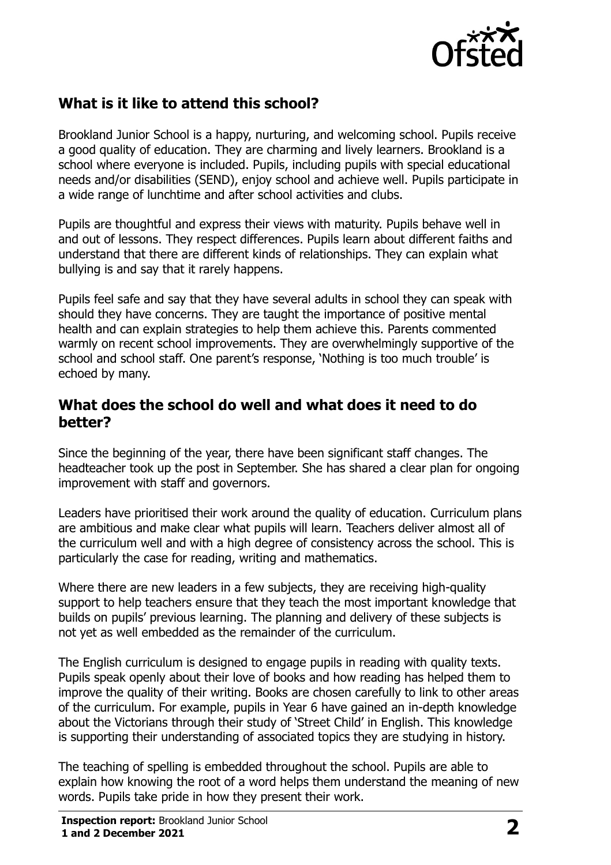

## **What is it like to attend this school?**

Brookland Junior School is a happy, nurturing, and welcoming school. Pupils receive a good quality of education. They are charming and lively learners. Brookland is a school where everyone is included. Pupils, including pupils with special educational needs and/or disabilities (SEND), enjoy school and achieve well. Pupils participate in a wide range of lunchtime and after school activities and clubs.

Pupils are thoughtful and express their views with maturity. Pupils behave well in and out of lessons. They respect differences. Pupils learn about different faiths and understand that there are different kinds of relationships. They can explain what bullying is and say that it rarely happens.

Pupils feel safe and say that they have several adults in school they can speak with should they have concerns. They are taught the importance of positive mental health and can explain strategies to help them achieve this. Parents commented warmly on recent school improvements. They are overwhelmingly supportive of the school and school staff. One parent's response, 'Nothing is too much trouble' is echoed by many.

#### **What does the school do well and what does it need to do better?**

Since the beginning of the year, there have been significant staff changes. The headteacher took up the post in September. She has shared a clear plan for ongoing improvement with staff and governors.

Leaders have prioritised their work around the quality of education. Curriculum plans are ambitious and make clear what pupils will learn. Teachers deliver almost all of the curriculum well and with a high degree of consistency across the school. This is particularly the case for reading, writing and mathematics.

Where there are new leaders in a few subjects, they are receiving high-quality support to help teachers ensure that they teach the most important knowledge that builds on pupils' previous learning. The planning and delivery of these subjects is not yet as well embedded as the remainder of the curriculum.

The English curriculum is designed to engage pupils in reading with quality texts. Pupils speak openly about their love of books and how reading has helped them to improve the quality of their writing. Books are chosen carefully to link to other areas of the curriculum. For example, pupils in Year 6 have gained an in-depth knowledge about the Victorians through their study of 'Street Child' in English. This knowledge is supporting their understanding of associated topics they are studying in history.

The teaching of spelling is embedded throughout the school. Pupils are able to explain how knowing the root of a word helps them understand the meaning of new words. Pupils take pride in how they present their work.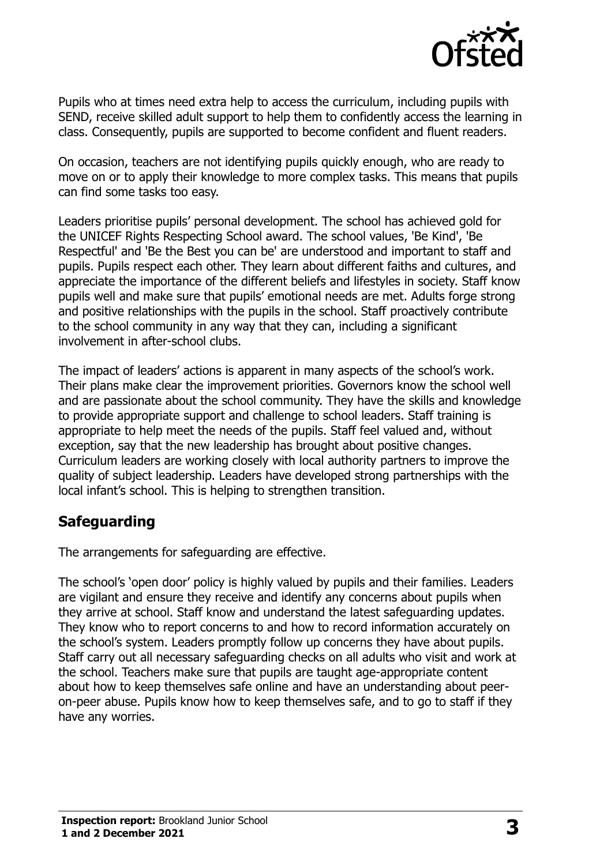

Pupils who at times need extra help to access the curriculum, including pupils with SEND, receive skilled adult support to help them to confidently access the learning in class. Consequently, pupils are supported to become confident and fluent readers.

On occasion, teachers are not identifying pupils quickly enough, who are ready to move on or to apply their knowledge to more complex tasks. This means that pupils can find some tasks too easy.

Leaders prioritise pupils' personal development. The school has achieved gold for the UNICEF Rights Respecting School award. The school values, 'Be Kind', 'Be Respectful' and 'Be the Best you can be' are understood and important to staff and pupils. Pupils respect each other. They learn about different faiths and cultures, and appreciate the importance of the different beliefs and lifestyles in society. Staff know pupils well and make sure that pupils' emotional needs are met. Adults forge strong and positive relationships with the pupils in the school. Staff proactively contribute to the school community in any way that they can, including a significant involvement in after-school clubs.

The impact of leaders' actions is apparent in many aspects of the school's work. Their plans make clear the improvement priorities. Governors know the school well and are passionate about the school community. They have the skills and knowledge to provide appropriate support and challenge to school leaders. Staff training is appropriate to help meet the needs of the pupils. Staff feel valued and, without exception, say that the new leadership has brought about positive changes. Curriculum leaders are working closely with local authority partners to improve the quality of subject leadership. Leaders have developed strong partnerships with the local infant's school. This is helping to strengthen transition.

## **Safeguarding**

The arrangements for safeguarding are effective.

The school's 'open door' policy is highly valued by pupils and their families. Leaders are vigilant and ensure they receive and identify any concerns about pupils when they arrive at school. Staff know and understand the latest safeguarding updates. They know who to report concerns to and how to record information accurately on the school's system. Leaders promptly follow up concerns they have about pupils. Staff carry out all necessary safeguarding checks on all adults who visit and work at the school. Teachers make sure that pupils are taught age-appropriate content about how to keep themselves safe online and have an understanding about peeron-peer abuse. Pupils know how to keep themselves safe, and to go to staff if they have any worries.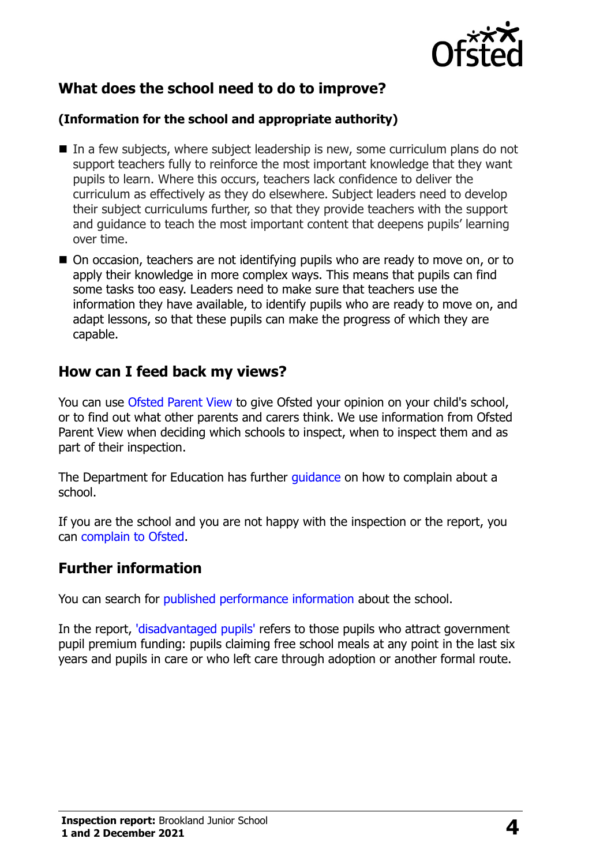

## **What does the school need to do to improve?**

#### **(Information for the school and appropriate authority)**

- In a few subjects, where subject leadership is new, some curriculum plans do not support teachers fully to reinforce the most important knowledge that they want pupils to learn. Where this occurs, teachers lack confidence to deliver the curriculum as effectively as they do elsewhere. Subject leaders need to develop their subject curriculums further, so that they provide teachers with the support and guidance to teach the most important content that deepens pupils' learning over time.
- On occasion, teachers are not identifying pupils who are ready to move on, or to apply their knowledge in more complex ways. This means that pupils can find some tasks too easy. Leaders need to make sure that teachers use the information they have available, to identify pupils who are ready to move on, and adapt lessons, so that these pupils can make the progress of which they are capable.

#### **How can I feed back my views?**

You can use [Ofsted Parent View](http://parentview.ofsted.gov.uk/) to give Ofsted your opinion on your child's school, or to find out what other parents and carers think. We use information from Ofsted Parent View when deciding which schools to inspect, when to inspect them and as part of their inspection.

The Department for Education has further quidance on how to complain about a school.

If you are the school and you are not happy with the inspection or the report, you can [complain to Ofsted.](http://www.gov.uk/complain-ofsted-report)

### **Further information**

You can search for [published performance information](http://www.compare-school-performance.service.gov.uk/) about the school.

In the report, ['disadvantaged pupils'](http://www.gov.uk/guidance/pupil-premium-information-for-schools-and-alternative-provision-settings) refers to those pupils who attract government pupil premium funding: pupils claiming free school meals at any point in the last six years and pupils in care or who left care through adoption or another formal route.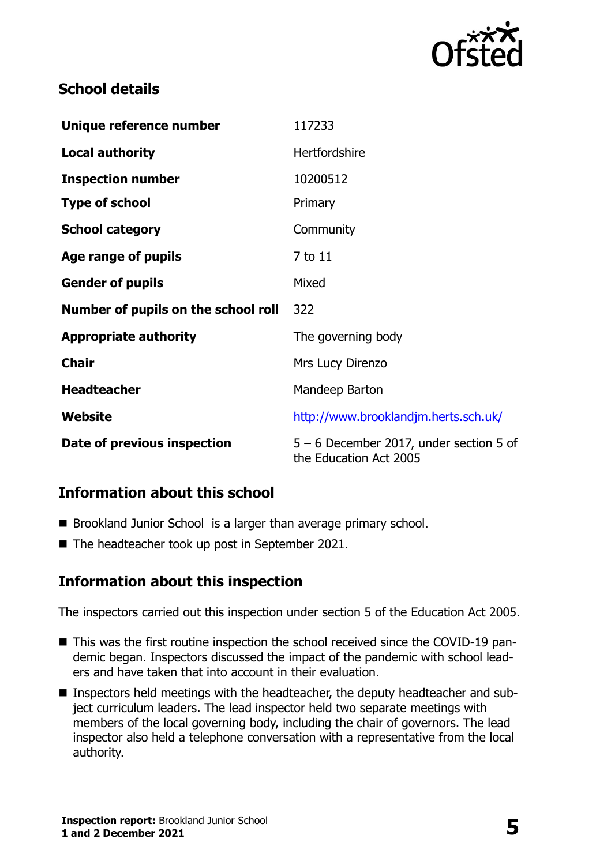

## **School details**

| Unique reference number             | 117233                                                              |  |
|-------------------------------------|---------------------------------------------------------------------|--|
| <b>Local authority</b>              | Hertfordshire                                                       |  |
| <b>Inspection number</b>            | 10200512                                                            |  |
| <b>Type of school</b>               | Primary                                                             |  |
| <b>School category</b>              | Community                                                           |  |
| Age range of pupils                 | 7 to 11                                                             |  |
| <b>Gender of pupils</b>             | Mixed                                                               |  |
| Number of pupils on the school roll | 322                                                                 |  |
| <b>Appropriate authority</b>        | The governing body                                                  |  |
| <b>Chair</b>                        | Mrs Lucy Direnzo                                                    |  |
| <b>Headteacher</b>                  | Mandeep Barton                                                      |  |
| Website                             | http://www.brooklandjm.herts.sch.uk/                                |  |
| Date of previous inspection         | $5 - 6$ December 2017, under section 5 of<br>the Education Act 2005 |  |

## **Information about this school**

- Brookland Junior School is a larger than average primary school.
- The headteacher took up post in September 2021.

### **Information about this inspection**

The inspectors carried out this inspection under section 5 of the Education Act 2005.

- This was the first routine inspection the school received since the COVID-19 pandemic began. Inspectors discussed the impact of the pandemic with school leaders and have taken that into account in their evaluation.
- **Inspectors held meetings with the headteacher, the deputy headteacher and sub**ject curriculum leaders. The lead inspector held two separate meetings with members of the local governing body, including the chair of governors. The lead inspector also held a telephone conversation with a representative from the local authority.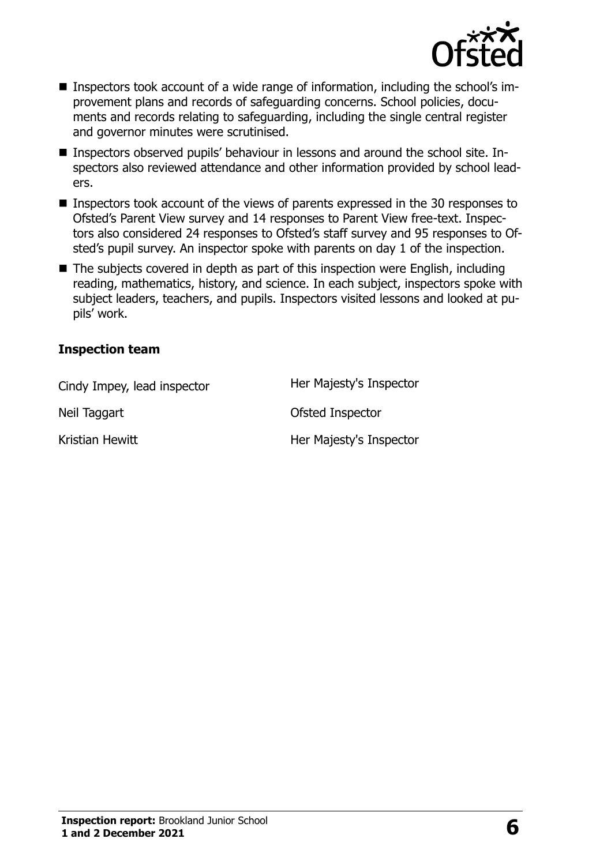

- Inspectors took account of a wide range of information, including the school's improvement plans and records of safeguarding concerns. School policies, documents and records relating to safeguarding, including the single central register and governor minutes were scrutinised.
- Inspectors observed pupils' behaviour in lessons and around the school site. Inspectors also reviewed attendance and other information provided by school leaders.
- Inspectors took account of the views of parents expressed in the 30 responses to Ofsted's Parent View survey and 14 responses to Parent View free-text. Inspectors also considered 24 responses to Ofsted's staff survey and 95 responses to Ofsted's pupil survey. An inspector spoke with parents on day 1 of the inspection.
- The subjects covered in depth as part of this inspection were English, including reading, mathematics, history, and science. In each subject, inspectors spoke with subject leaders, teachers, and pupils. Inspectors visited lessons and looked at pupils' work.

#### **Inspection team**

| Cindy Impey, lead inspector | Her Majesty's Inspector |
|-----------------------------|-------------------------|
| Neil Taggart                | Ofsted Inspector        |
| Kristian Hewitt             | Her Majesty's Inspector |